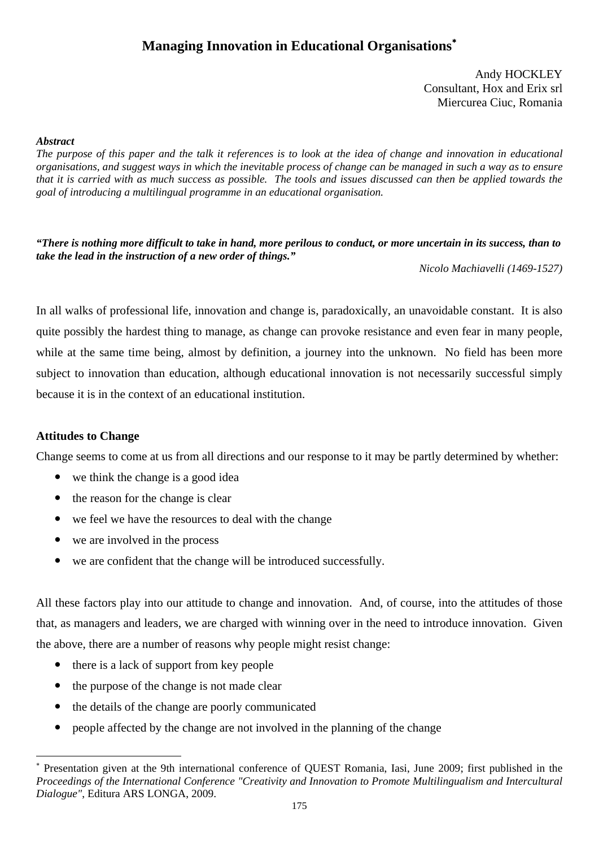# **Managing Innovation in Educational Organisations**<sup>∗</sup>

Andy HOCKLEY Consultant, Hox and Erix srl Miercurea Ciuc, Romania

### *Abstract*

*The purpose of this paper and the talk it references is to look at the idea of change and innovation in educational organisations, and suggest ways in which the inevitable process of change can be managed in such a way as to ensure that it is carried with as much success as possible. The tools and issues discussed can then be applied towards the goal of introducing a multilingual programme in an educational organisation.* 

*"There is nothing more difficult to take in hand, more perilous to conduct, or more uncertain in its success, than to take the lead in the instruction of a new order of things."* 

*Nicolo Machiavelli (1469-1527)* 

In all walks of professional life, innovation and change is, paradoxically, an unavoidable constant. It is also quite possibly the hardest thing to manage, as change can provoke resistance and even fear in many people, while at the same time being, almost by definition, a journey into the unknown. No field has been more subject to innovation than education, although educational innovation is not necessarily successful simply because it is in the context of an educational institution.

# **Attitudes to Change**

-

Change seems to come at us from all directions and our response to it may be partly determined by whether:

- we think the change is a good idea
- $\bullet$  the reason for the change is clear
- we feel we have the resources to deal with the change
- $\bullet$  we are involved in the process
- we are confident that the change will be introduced successfully.

All these factors play into our attitude to change and innovation. And, of course, into the attitudes of those that, as managers and leaders, we are charged with winning over in the need to introduce innovation. Given the above, there are a number of reasons why people might resist change:

- $\bullet$  there is a lack of support from key people
- $\bullet$  the purpose of the change is not made clear
- $\bullet$  the details of the change are poorly communicated
- y people affected by the change are not involved in the planning of the change

<sup>∗</sup> Presentation given at the 9th international conference of QUEST Romania, Iasi, June 2009; first published in the *Proceedings of the International Conference "Creativity and Innovation to Promote Multilingualism and Intercultural Dialogue"*, Editura ARS LONGA, 2009.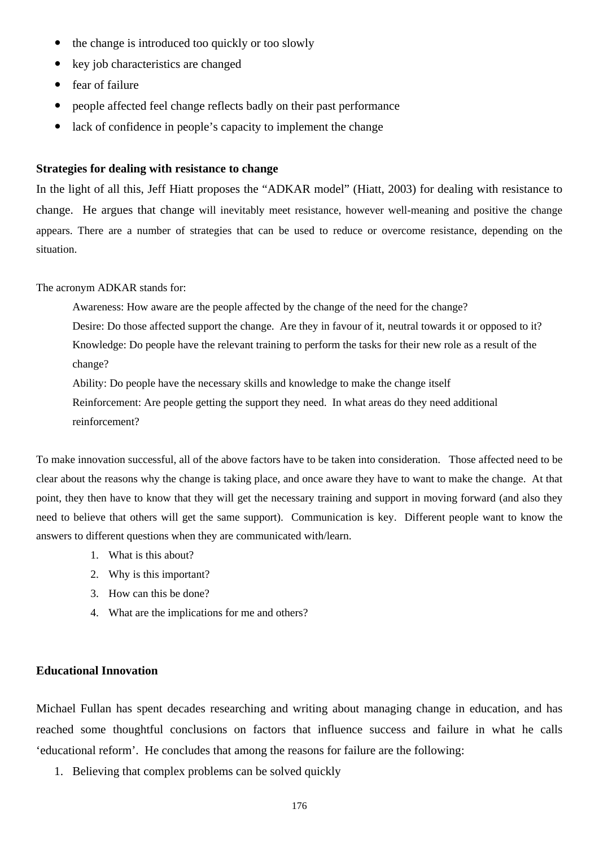- the change is introduced too quickly or too slowly
- key job characteristics are changed
- $\bullet$  fear of failure
- y people affected feel change reflects badly on their past performance
- lack of confidence in people's capacity to implement the change

#### **Strategies for dealing with resistance to change**

In the light of all this, Jeff Hiatt proposes the "ADKAR model" (Hiatt, 2003) for dealing with resistance to change. He argues that change will inevitably meet resistance, however well-meaning and positive the change appears. There are a number of strategies that can be used to reduce or overcome resistance, depending on the situation.

The acronym ADKAR stands for:

Awareness: How aware are the people affected by the change of the need for the change?

Desire: Do those affected support the change. Are they in favour of it, neutral towards it or opposed to it? Knowledge: Do people have the relevant training to perform the tasks for their new role as a result of the change?

Ability: Do people have the necessary skills and knowledge to make the change itself Reinforcement: Are people getting the support they need. In what areas do they need additional reinforcement?

To make innovation successful, all of the above factors have to be taken into consideration. Those affected need to be clear about the reasons why the change is taking place, and once aware they have to want to make the change. At that point, they then have to know that they will get the necessary training and support in moving forward (and also they need to believe that others will get the same support). Communication is key. Different people want to know the answers to different questions when they are communicated with/learn.

- 1. What is this about?
- 2. Why is this important?
- 3. How can this be done?
- 4. What are the implications for me and others?

# **Educational Innovation**

Michael Fullan has spent decades researching and writing about managing change in education, and has reached some thoughtful conclusions on factors that influence success and failure in what he calls 'educational reform'. He concludes that among the reasons for failure are the following:

1. Believing that complex problems can be solved quickly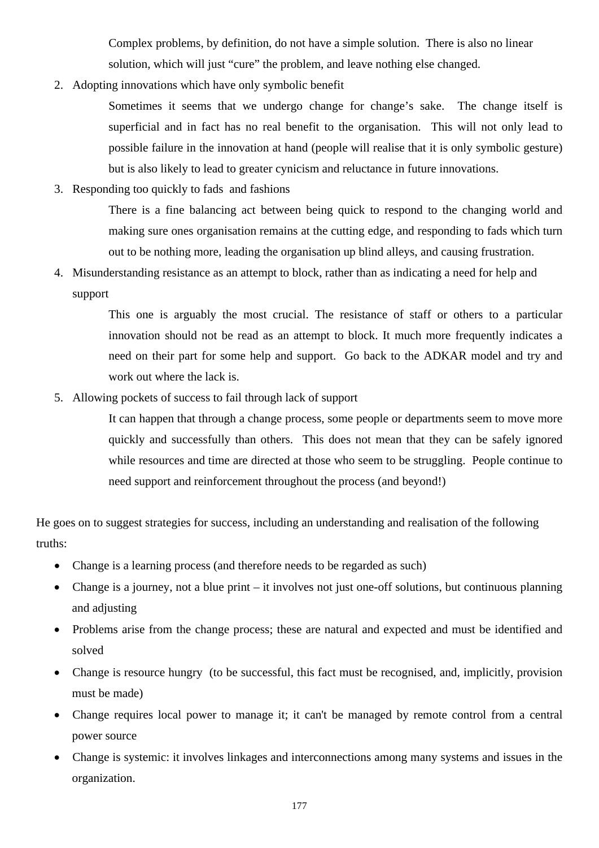Complex problems, by definition, do not have a simple solution. There is also no linear solution, which will just "cure" the problem, and leave nothing else changed.

2. Adopting innovations which have only symbolic benefit

Sometimes it seems that we undergo change for change's sake. The change itself is superficial and in fact has no real benefit to the organisation. This will not only lead to possible failure in the innovation at hand (people will realise that it is only symbolic gesture) but is also likely to lead to greater cynicism and reluctance in future innovations.

3. Responding too quickly to fads and fashions

There is a fine balancing act between being quick to respond to the changing world and making sure ones organisation remains at the cutting edge, and responding to fads which turn out to be nothing more, leading the organisation up blind alleys, and causing frustration.

4. Misunderstanding resistance as an attempt to block, rather than as indicating a need for help and support

> This one is arguably the most crucial. The resistance of staff or others to a particular innovation should not be read as an attempt to block. It much more frequently indicates a need on their part for some help and support. Go back to the ADKAR model and try and work out where the lack is.

5. Allowing pockets of success to fail through lack of support

It can happen that through a change process, some people or departments seem to move more quickly and successfully than others. This does not mean that they can be safely ignored while resources and time are directed at those who seem to be struggling. People continue to need support and reinforcement throughout the process (and beyond!)

He goes on to suggest strategies for success, including an understanding and realisation of the following truths:

- Change is a learning process (and therefore needs to be regarded as such)
- Change is a journey, not a blue print it involves not just one-off solutions, but continuous planning and adjusting
- Problems arise from the change process; these are natural and expected and must be identified and solved
- Change is resource hungry (to be successful, this fact must be recognised, and, implicitly, provision must be made)
- Change requires local power to manage it; it can't be managed by remote control from a central power source
- Change is systemic: it involves linkages and interconnections among many systems and issues in the organization.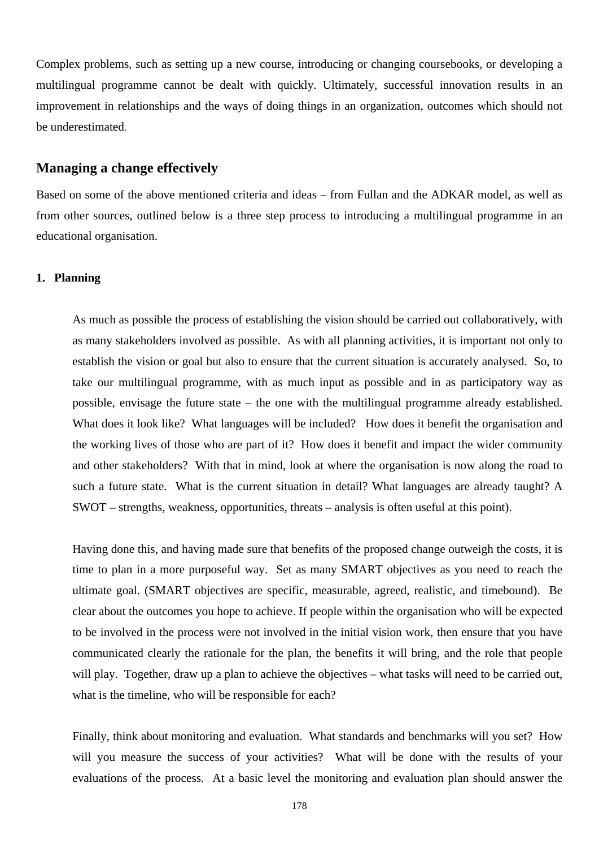Complex problems, such as setting up a new course, introducing or changing coursebooks, or developing a multilingual programme cannot be dealt with quickly. Ultimately, successful innovation results in an improvement in relationships and the ways of doing things in an organization, outcomes which should not be underestimated.

# **Managing a change effectively**

Based on some of the above mentioned criteria and ideas – from Fullan and the ADKAR model, as well as from other sources, outlined below is a three step process to introducing a multilingual programme in an educational organisation.

#### **1. Planning**

As much as possible the process of establishing the vision should be carried out collaboratively, with as many stakeholders involved as possible. As with all planning activities, it is important not only to establish the vision or goal but also to ensure that the current situation is accurately analysed. So, to take our multilingual programme, with as much input as possible and in as participatory way as possible, envisage the future state – the one with the multilingual programme already established. What does it look like? What languages will be included? How does it benefit the organisation and the working lives of those who are part of it? How does it benefit and impact the wider community and other stakeholders? With that in mind, look at where the organisation is now along the road to such a future state. What is the current situation in detail? What languages are already taught? A SWOT – strengths, weakness, opportunities, threats – analysis is often useful at this point).

Having done this, and having made sure that benefits of the proposed change outweigh the costs, it is time to plan in a more purposeful way. Set as many SMART objectives as you need to reach the ultimate goal. (SMART objectives are specific, measurable, agreed, realistic, and timebound). Be clear about the outcomes you hope to achieve. If people within the organisation who will be expected to be involved in the process were not involved in the initial vision work, then ensure that you have communicated clearly the rationale for the plan, the benefits it will bring, and the role that people will play. Together, draw up a plan to achieve the objectives – what tasks will need to be carried out, what is the timeline, who will be responsible for each?

Finally, think about monitoring and evaluation. What standards and benchmarks will you set? How will you measure the success of your activities? What will be done with the results of your evaluations of the process. At a basic level the monitoring and evaluation plan should answer the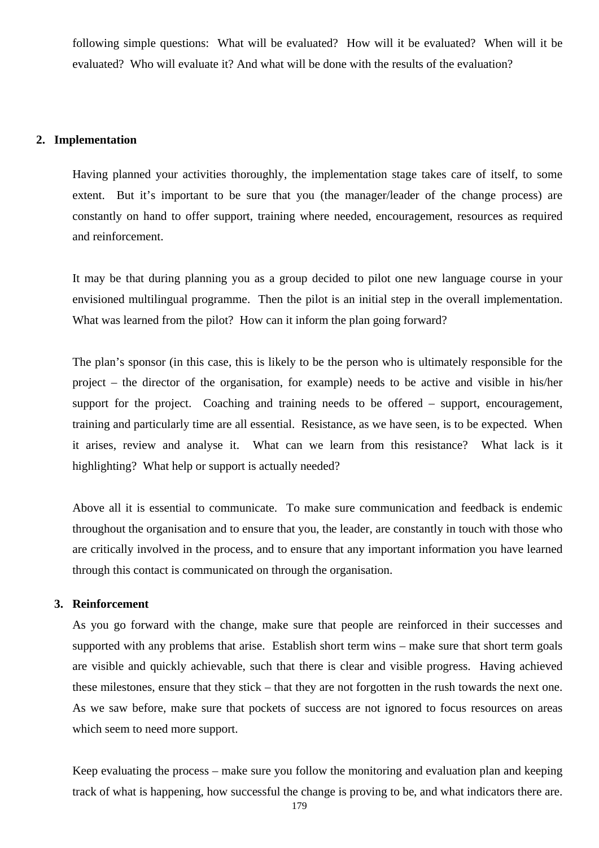following simple questions: What will be evaluated? How will it be evaluated? When will it be evaluated? Who will evaluate it? And what will be done with the results of the evaluation?

# **2. Implementation**

Having planned your activities thoroughly, the implementation stage takes care of itself, to some extent. But it's important to be sure that you (the manager/leader of the change process) are constantly on hand to offer support, training where needed, encouragement, resources as required and reinforcement.

It may be that during planning you as a group decided to pilot one new language course in your envisioned multilingual programme. Then the pilot is an initial step in the overall implementation. What was learned from the pilot? How can it inform the plan going forward?

The plan's sponsor (in this case, this is likely to be the person who is ultimately responsible for the project – the director of the organisation, for example) needs to be active and visible in his/her support for the project. Coaching and training needs to be offered – support, encouragement, training and particularly time are all essential. Resistance, as we have seen, is to be expected. When it arises, review and analyse it. What can we learn from this resistance? What lack is it highlighting? What help or support is actually needed?

Above all it is essential to communicate. To make sure communication and feedback is endemic throughout the organisation and to ensure that you, the leader, are constantly in touch with those who are critically involved in the process, and to ensure that any important information you have learned through this contact is communicated on through the organisation.

# **3. Reinforcement**

As you go forward with the change, make sure that people are reinforced in their successes and supported with any problems that arise. Establish short term wins – make sure that short term goals are visible and quickly achievable, such that there is clear and visible progress. Having achieved these milestones, ensure that they stick – that they are not forgotten in the rush towards the next one. As we saw before, make sure that pockets of success are not ignored to focus resources on areas which seem to need more support.

Keep evaluating the process – make sure you follow the monitoring and evaluation plan and keeping track of what is happening, how successful the change is proving to be, and what indicators there are.